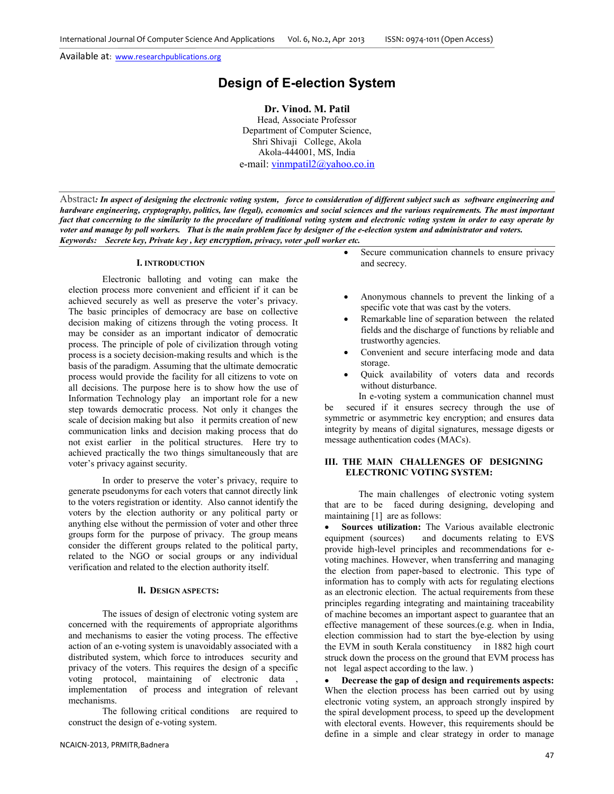# **Design of E-election System**

**Dr. Vinod. M. Patil** 

Head, Associate Professor Department of Computer Science, Shri Shivaji College, Akola Akola-444001, MS, India e-mail: vinmpatil2@yahoo.co.in

Abstract*: In aspect of designing the electronic voting system, force to consideration of different subject such as software engineering and hardware engineering, cryptography, politics, law (legal), economics and social sciences and the various requirements. The most important fact that concerning to the similarity to the procedure of traditional voting system and electronic voting system in order to easy operate by voter and manage by poll workers. That is the main problem face by designer of the e-election system and administrator and voters. Keywords: Secrete key, Private key , key encryption, privacy, voter ,poll worker etc.* 

#### **I. INTRODUCTION**

Electronic balloting and voting can make the election process more convenient and efficient if it can be achieved securely as well as preserve the voter's privacy. The basic principles of democracy are base on collective decision making of citizens through the voting process. It may be consider as an important indicator of democratic process. The principle of pole of civilization through voting process is a society decision-making results and which is the basis of the paradigm. Assuming that the ultimate democratic process would provide the facility for all citizens to vote on all decisions. The purpose here is to show how the use of Information Technology play an important role for a new step towards democratic process. Not only it changes the scale of decision making but also it permits creation of new communication links and decision making process that do not exist earlier in the political structures. Here try to achieved practically the two things simultaneously that are voter's privacy against security.

In order to preserve the voter's privacy, require to generate pseudonyms for each voters that cannot directly link to the voters registration or identity. Also cannot identify the voters by the election authority or any political party or anything else without the permission of voter and other three groups form for the purpose of privacy. The group means consider the different groups related to the political party, related to the NGO or social groups or any individual verification and related to the election authority itself.

#### **II. DESIGN ASPECTS:**

The issues of design of electronic voting system are concerned with the requirements of appropriate algorithms and mechanisms to easier the voting process. The effective action of an e-voting system is unavoidably associated with a distributed system, which force to introduces security and privacy of the voters. This requires the design of a specific voting protocol, maintaining of electronic data , implementation of process and integration of relevant mechanisms.

The following critical conditions are required to construct the design of e-voting system.

- Secure communication channels to ensure privacy and secrecy.
- Anonymous channels to prevent the linking of a specific vote that was cast by the voters.
- Remarkable line of separation between the related fields and the discharge of functions by reliable and trustworthy agencies.
- Convenient and secure interfacing mode and data storage.
- Quick availability of voters data and records without disturbance.

In e-voting system a communication channel must be secured if it ensures secrecy through the use of symmetric or asymmetric key encryption; and ensures data integrity by means of digital signatures, message digests or message authentication codes (MACs).

#### **III. THE MAIN CHALLENGES OF DESIGNING ELECTRONIC VOTING SYSTEM:**

The main challenges of electronic voting system that are to be faced during designing, developing and maintaining [1] are as follows:

**Sources utilization:** The Various available electronic equipment (sources) and documents relating to EVS provide high-level principles and recommendations for evoting machines. However, when transferring and managing the election from paper-based to electronic. This type of information has to comply with acts for regulating elections as an electronic election. The actual requirements from these principles regarding integrating and maintaining traceability of machine becomes an important aspect to guarantee that an effective management of these sources.(e.g. when in India, election commission had to start the bye-election by using the EVM in south Kerala constituency in 1882 high court struck down the process on the ground that EVM process has not legal aspect according to the law. )

• **Decrease the gap of design and requirements aspects:**  When the election process has been carried out by using electronic voting system, an approach strongly inspired by the spiral development process, to speed up the development with electoral events. However, this requirements should be define in a simple and clear strategy in order to manage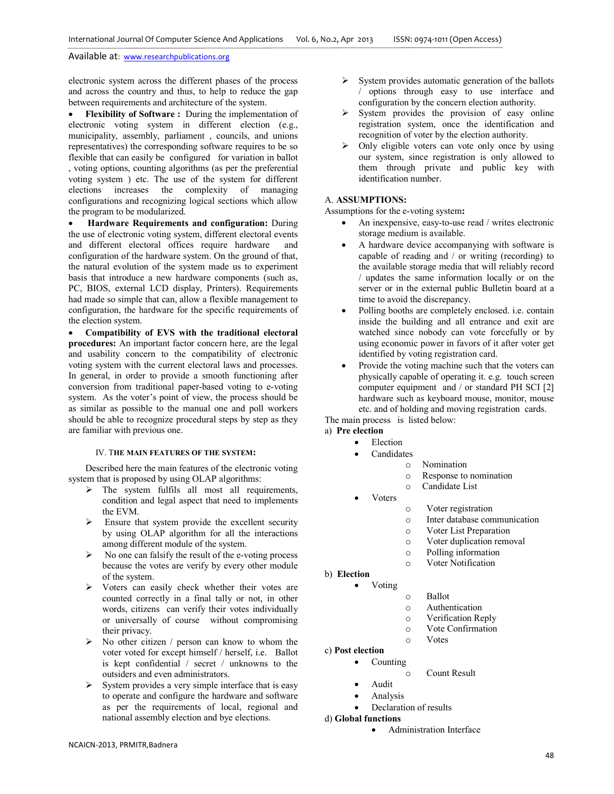electronic system across the different phases of the process and across the country and thus, to help to reduce the gap between requirements and architecture of the system.

**Flexibility of Software :** During the implementation of electronic voting system in different election (e.g., municipality, assembly, parliament , councils, and unions representatives) the corresponding software requires to be so flexible that can easily be configured for variation in ballot , voting options, counting algorithms (as per the preferential voting system ) etc. The use of the system for different elections increases the complexity of managing configurations and recognizing logical sections which allow the program to be modularized.

• **Hardware Requirements and configuration:** During the use of electronic voting system, different electoral events and different electoral offices require hardware and configuration of the hardware system. On the ground of that, the natural evolution of the system made us to experiment basis that introduce a new hardware components (such as, PC, BIOS, external LCD display, Printers). Requirements had made so simple that can, allow a flexible management to configuration, the hardware for the specific requirements of the election system.

• **Compatibility of EVS with the traditional electoral procedures:** An important factor concern here, are the legal and usability concern to the compatibility of electronic voting system with the current electoral laws and processes. In general, in order to provide a smooth functioning after conversion from traditional paper-based voting to e-voting system. As the voter's point of view, the process should be as similar as possible to the manual one and poll workers should be able to recognize procedural steps by step as they are familiar with previous one.

#### IV. T**HE MAIN FEATURES OF THE SYSTEM:**

Described here the main features of the electronic voting system that is proposed by using OLAP algorithms:

- $\triangleright$  The system fulfils all most all requirements, condition and legal aspect that need to implements the EVM.
- Ensure that system provide the excellent security by using OLAP algorithm for all the interactions among different module of the system.
- $\triangleright$  No one can falsify the result of the e-voting process because the votes are verify by every other module of the system.
- $\triangleright$  Voters can easily check whether their votes are counted correctly in a final tally or not, in other words, citizens can verify their votes individually or universally of course without compromising their privacy.
- $\triangleright$  No other citizen / person can know to whom the voter voted for except himself / herself, i.e. Ballot is kept confidential / secret / unknowns to the outsiders and even administrators.
- $\triangleright$  System provides a very simple interface that is easy to operate and configure the hardware and software as per the requirements of local, regional and national assembly election and bye elections.
- $\triangleright$  System provides automatic generation of the ballots / options through easy to use interface and configuration by the concern election authority.
- $\triangleright$  System provides the provision of easy online registration system, once the identification and recognition of voter by the election authority.
- Only eligible voters can vote only once by using our system, since registration is only allowed to them through private and public key with identification number.

# A. **ASSUMPTIONS:**

Assumptions for the e-voting system**:** 

- An inexpensive, easy-to-use read / writes electronic storage medium is available.
- A hardware device accompanying with software is capable of reading and / or writing (recording) to the available storage media that will reliably record / updates the same information locally or on the server or in the external public Bulletin board at a time to avoid the discrepancy.
- Polling booths are completely enclosed. i.e. contain inside the building and all entrance and exit are watched since nobody can vote forcefully or by using economic power in favors of it after voter get identified by voting registration card.
- Provide the voting machine such that the voters can physically capable of operating it. e.g. touch screen computer equipment and / or standard PH SCI [2] hardware such as keyboard mouse, monitor, mouse etc. and of holding and moving registration cards.

The main process is listed below:

- a) **Pre election Election** 
	- **Candidates** 
		- o Nomination
			- o Response to nomination
			- o Candidate List
	- Voters
- o Voter registration
- o Inter database communication
- o Voter List Preparation
- o Voter duplication removal
- o Polling information
- o Voter Notification
- b) **Election** • Voting
- o Ballot
- o Authentication
- o Verification Reply
- o Vote Confirmation
- o Votes
- c) **Post election**
	- Counting
		- o Count Result
	- Audit
	- **Analysis** 
		- Declaration of results
- d) **Global functions**
	- Administration Interface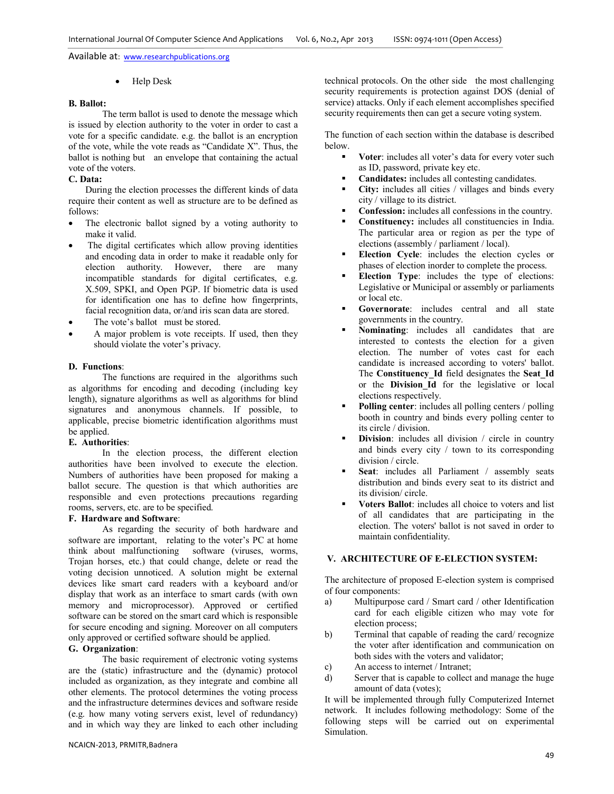• Help Desk

#### **B. Ballot:**

The term ballot is used to denote the message which is issued by election authority to the voter in order to cast a vote for a specific candidate. e.g. the ballot is an encryption of the vote, while the vote reads as "Candidate X". Thus, the ballot is nothing but an envelope that containing the actual vote of the voters.

# **C. Data:**

During the election processes the different kinds of data require their content as well as structure are to be defined as follows:

- The electronic ballot signed by a voting authority to make it valid.
- The digital certificates which allow proving identities and encoding data in order to make it readable only for election authority. However, there are many incompatible standards for digital certificates, e.g. X.509, SPKI, and Open PGP. If biometric data is used for identification one has to define how fingerprints, facial recognition data, or/and iris scan data are stored.
- The vote's ballot must be stored.
- A major problem is vote receipts. If used, then they should violate the voter's privacy.

#### **D. Functions**:

The functions are required in the algorithms such as algorithms for encoding and decoding (including key length), signature algorithms as well as algorithms for blind signatures and anonymous channels. If possible, to applicable, precise biometric identification algorithms must be applied.

#### **E. Authorities**:

In the election process, the different election authorities have been involved to execute the election. Numbers of authorities have been proposed for making a ballot secure. The question is that which authorities are responsible and even protections precautions regarding rooms, servers, etc. are to be specified.

#### **F. Hardware and Software**:

As regarding the security of both hardware and software are important, relating to the voter's PC at home think about malfunctioning software (viruses, worms, Trojan horses, etc.) that could change, delete or read the voting decision unnoticed. A solution might be external devices like smart card readers with a keyboard and/or display that work as an interface to smart cards (with own memory and microprocessor). Approved or certified software can be stored on the smart card which is responsible for secure encoding and signing. Moreover on all computers only approved or certified software should be applied.

# **G. Organization**:

The basic requirement of electronic voting systems are the (static) infrastructure and the (dynamic) protocol included as organization, as they integrate and combine all other elements. The protocol determines the voting process and the infrastructure determines devices and software reside (e.g. how many voting servers exist, level of redundancy) and in which way they are linked to each other including technical protocols. On the other side the most challenging security requirements is protection against DOS (denial of service) attacks. Only if each element accomplishes specified security requirements then can get a secure voting system.

The function of each section within the database is described below.

- - **Voter**: includes all voter's data for every voter such as ID, password, private key etc.
- -**Candidates:** includes all contesting candidates.
- - **City:** includes all cities / villages and binds every city / village to its district.
- -**Confession:** includes all confessions in the country.
- - **Constituency:** includes all constituencies in India. The particular area or region as per the type of elections (assembly / parliament / local).
- - **Election Cycle**: includes the election cycles or phases of election inorder to complete the process.
- - **Election Type**: includes the type of elections: Legislative or Municipal or assembly or parliaments or local etc.
- - **Governorate**: includes central and all state governments in the country.
- - **Nominating**: includes all candidates that are interested to contests the election for a given election. The number of votes cast for each candidate is increased according to voters' ballot. The **Constituency\_Id** field designates the **Seat\_Id** or the **Division\_Id** for the legislative or local elections respectively.
- - **Polling center**: includes all polling centers / polling booth in country and binds every polling center to its circle / division.
- -**Division**: includes all division / circle in country and binds every city / town to its corresponding division / circle.
- - **Seat**: includes all Parliament / assembly seats distribution and binds every seat to its district and its division/ circle.
- - **Voters Ballot**: includes all choice to voters and list of all candidates that are participating in the election. The voters' ballot is not saved in order to maintain confidentiality.

# **V. ARCHITECTURE OF E-ELECTION SYSTEM:**

The architecture of proposed E-election system is comprised of four components:

- a) Multipurpose card / Smart card / other Identification card for each eligible citizen who may vote for election process;
- b) Terminal that capable of reading the card/ recognize the voter after identification and communication on both sides with the voters and validator;
- c) An access to internet / Intranet;
- d) Server that is capable to collect and manage the huge amount of data (votes);

It will be implemented through fully Computerized Internet network. It includes following methodology: Some of the following steps will be carried out on experimental Simulation.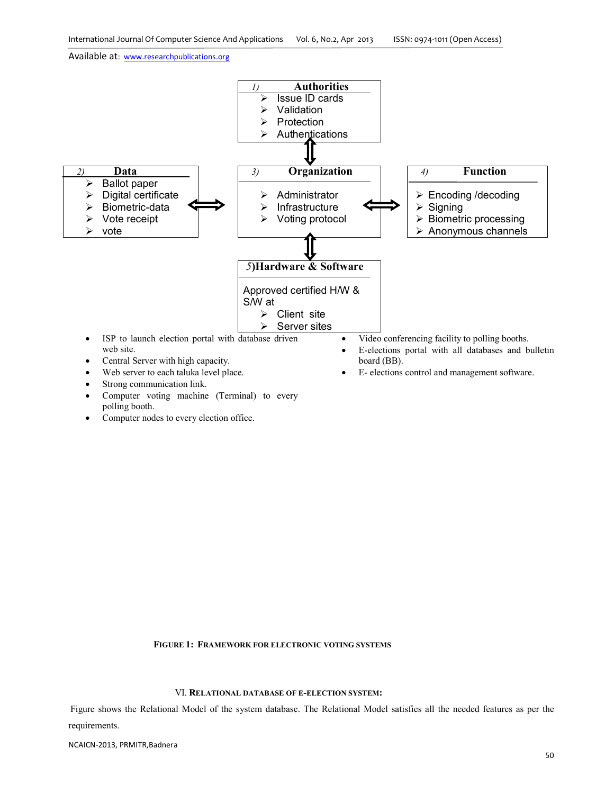

Computer nodes to every election office.

 **FIGURE 1: FRAMEWORK FOR ELECTRONIC VOTING SYSTEMS**

#### VI. **RELATIONAL DATABASE OF E-ELECTION SYSTEM:**

Figure shows the Relational Model of the system database. The Relational Model satisfies all the needed features as per the requirements.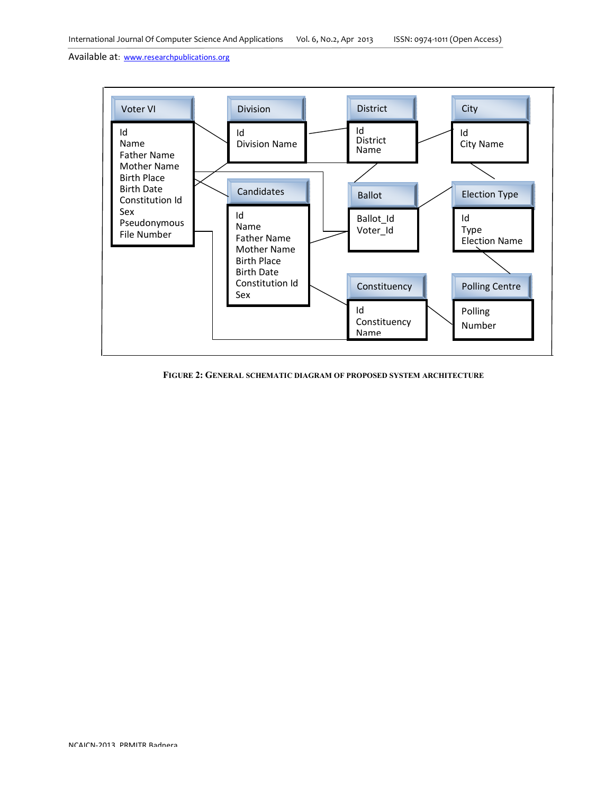

 **FIGURE 2: GENERAL SCHEMATIC DIAGRAM OF PROPOSED SYSTEM ARCHITECTURE**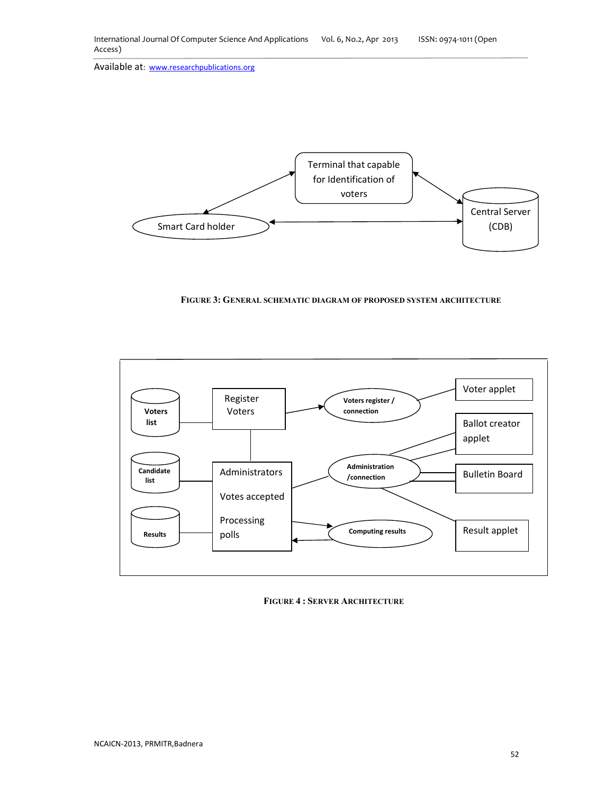

 **FIGURE 3: GENERAL SCHEMATIC DIAGRAM OF PROPOSED SYSTEM ARCHITECTURE**



**FIGURE 4 : SERVER ARCHITECTURE**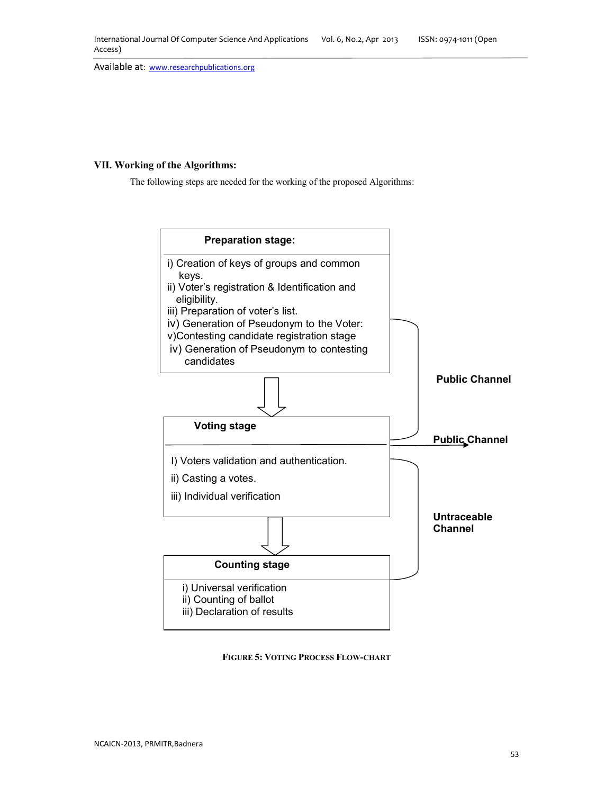# **VII. Working of the Algorithms:**

The following steps are needed for the working of the proposed Algorithms:



**FIGURE 5: VOTING PROCESS FLOW-CHART**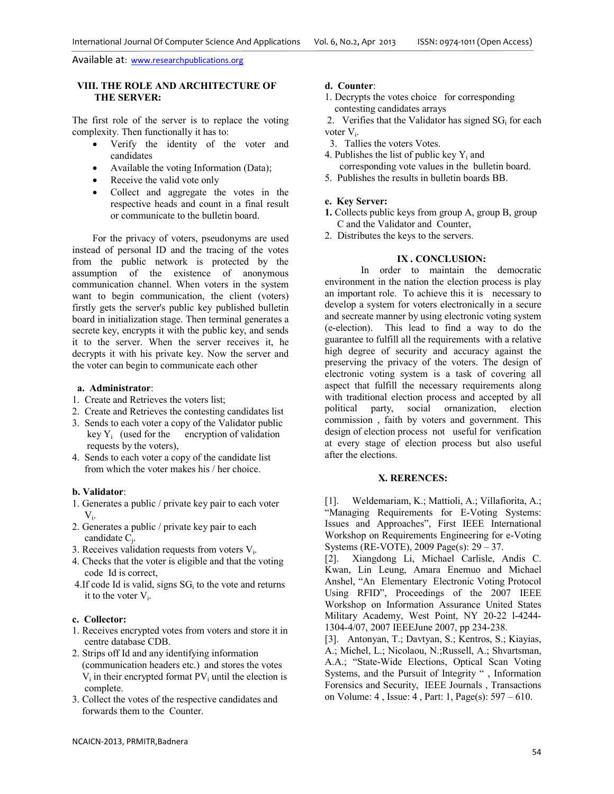# **VIII. THE ROLE AND ARCHITECTURE OF THE SERVER:**

The first role of the server is to replace the voting complexity. Then functionally it has to:

- Verify the identity of the voter and candidates
- Available the voting Information (Data);
- Receive the valid vote only
- Collect and aggregate the votes in the respective heads and count in a final result or communicate to the bulletin board.

For the privacy of voters, pseudonyms are used instead of personal ID and the tracing of the votes from the public network is protected by the assumption of the existence of anonymous communication channel. When voters in the system want to begin communication, the client (voters) firstly gets the server's public key published bulletin board in initialization stage. Then terminal generates a secrete key, encrypts it with the public key, and sends it to the server. When the server receives it, he decrypts it with his private key. Now the server and the voter can begin to communicate each other

#### **a. Administrator**:

- 1. Create and Retrieves the voters list;
- 2. Create and Retrieves the contesting candidates list
- 3. Sends to each voter a copy of the Validator public key  $Y_i$  (used for the encryption of validation requests by the voters),
- 4. Sends to each voter a copy of the candidate list from which the voter makes his / her choice.

#### **b. Validator**:

- 1. Generates a public / private key pair to each voter  $V_i$ .
- 2. Generates a public / private key pair to each candidate C<sup>j</sup> .
- 3. Receives validation requests from voters  $V_i$ .
- 4. Checks that the voter is eligible and that the voting code Id is correct,
- 4.If code Id is valid, signs  $SG<sub>i</sub>$  to the vote and returns it to the voter  $V_i$ .

# **c. Collector:**

- 1. Receives encrypted votes from voters and store it in centre database CDB.
- 2. Strips off Id and any identifying information (communication headers etc.) and stores the votes  $V_i$  in their encrypted format  $PV_i$  until the election is complete.
- 3. Collect the votes of the respective candidates and forwards them to the Counter.

# **d. Counter**:

- 1. Decrypts the votes choice for corresponding contesting candidates arrays
- 2. Verifies that the Validator has signed  $SG<sub>i</sub>$  for each voter V<sub>i</sub>.
- 3. Tallies the voters Votes.
- 4. Publishes the list of public key  $Y_i$  and
- corresponding vote values in the bulletin board. 5. Publishes the results in bulletin boards BB.

#### **e. Key Server:**

- **1.** Collects public keys from group A, group B, group C and the Validator and Counter,
- 2. Distributes the keys to the servers.

# **IX . CONCLUSION:**

 In order to maintain the democratic environment in the nation the election process is play an important role. To achieve this it is necessary to develop a system for voters electronically in a secure and secreate manner by using electronic voting system (e-election). This lead to find a way to do the guarantee to fulfill all the requirements with a relative high degree of security and accuracy against the preserving the privacy of the voters. The design of electronic voting system is a task of covering all aspect that fulfill the necessary requirements along with traditional election process and accepted by all<br>political party, social ornanization, election party, social ornanization, election commission , faith by voters and government. This design of election process not useful for verification at every stage of election process but also useful after the elections.

#### **X. RERENCES:**

[1]. Weldemariam, K.; Mattioli, A.; Villafiorita, A.; "Managing Requirements for E-Voting Systems: Issues and Approaches", First IEEE International Workshop on Requirements Engineering for e-Voting Systems (RE-VOTE), 2009 Page(s): 29 – 37.

[2]. Xiangdong Li, Michael Carlisle, Andis C. Kwan, Lin Leung, Amara Enemuo and Michael Anshel, "An Elementary Electronic Voting Protocol Using RFID", Proceedings of the 2007 IEEE Workshop on Information Assurance United States Military Academy, West Point, NY 20-22 l-4244- 1304-4/07, 2007 IEEEJune 2007, pp 234-238.

[3]. Antonyan, T.; Davtyan, S.; Kentros, S.; Kiayias, A.; Michel, L.; Nicolaou, N.;Russell, A.; Shvartsman, A.A.; "State-Wide Elections, Optical Scan Voting Systems, and the Pursuit of Integrity " , Information Forensics and Security, IEEE Journals , Transactions on Volume: 4 , Issue: 4 , Part: 1, Page(s): 597 – 610.